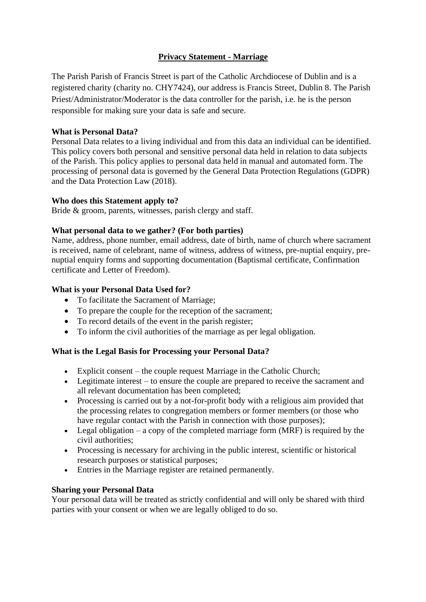# **Privacy Statement - Marriage**

The Parish Parish of Francis Street is part of the Catholic Archdiocese of Dublin and is a registered charity (charity no. CHY7424), our address is Francis Street, Dublin 8. The Parish Priest/Administrator/Moderator is the data controller for the parish, i.e. he is the person responsible for making sure your data is safe and secure.

## **What is Personal Data?**

Personal Data relates to a living individual and from this data an individual can be identified. This policy covers both personal and sensitive personal data held in relation to data subjects of the Parish. This policy applies to personal data held in manual and automated form. The processing of personal data is governed by the General Data Protection Regulations (GDPR) and the Data Protection Law (2018).

#### **Who does this Statement apply to?**

Bride & groom, parents, witnesses, parish clergy and staff.

## **What personal data to we gather? (For both parties)**

Name, address, phone number, email address, date of birth, name of church where sacrament is received, name of celebrant, name of witness, address of witness, pre-nuptial enquiry, prenuptial enquiry forms and supporting documentation (Baptismal certificate, Confirmation certificate and Letter of Freedom).

## **What is your Personal Data Used for?**

- To facilitate the Sacrament of Marriage;
- To prepare the couple for the reception of the sacrament;
- To record details of the event in the parish register;
- To inform the civil authorities of the marriage as per legal obligation.

## **What is the Legal Basis for Processing your Personal Data?**

- Explicit consent the couple request Marriage in the Catholic Church;
- Legitimate interest to ensure the couple are prepared to receive the sacrament and all relevant documentation has been completed;
- Processing is carried out by a not-for-profit body with a religious aim provided that the processing relates to congregation members or former members (or those who have regular contact with the Parish in connection with those purposes);
- Legal obligation a copy of the completed marriage form (MRF) is required by the civil authorities;
- Processing is necessary for archiving in the public interest, scientific or historical research purposes or statistical purposes;
- Entries in the Marriage register are retained permanently.

## **Sharing your Personal Data**

Your personal data will be treated as strictly confidential and will only be shared with third parties with your consent or when we are legally obliged to do so.